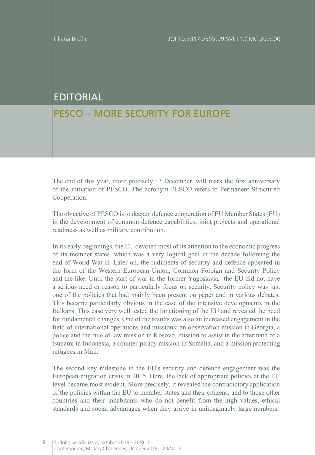## EDITORIAL

## PESCO – MORE SECURITY FOR EUROPE

The end of this year, more precisely 13 December, will mark the first anniversary of the initiation of PESCO. The acronym PESCO refers to Permanent Structured Cooperation.

The objective of PESCO is to deepen defence cooperation of EU Member States (EU) in the development of common defence capabilities, joint projects and operational readiness as well as military contribution.

In its early beginnings, the EU devoted most of its attention to the economic progress of its member states, which was a very logical goal in the decade following the end of World War II. Later on, the rudiments of security and defence appeared in the form of the Western European Union, Common Foreign and Security Policy and the like. Until the start of war in the former Yugoslavia, the EU did not have a serious need or reason to particularly focus on security. Security policy was just one of the policies that had mainly been present on paper and in various debates. This became particularly obvious in the case of the intensive developments in the Balkans. This case very well tested the functioning of the EU and revealed the need for fundamental changes. One of the results was also an increased engagement in the field of international operations and missions: an observation mission in Georgia, a police and the rule of law mission in Kosovo, mission to assist in the aftermath of a tsunami in Indonesia, a counter-piracy mission in Somalia, and a mission protecting refugees in Mali.

The second key milestone in the EU's security and defence engagement was the European migration crisis in 2015. Here, the lack of appropriate policies at the EU level became most evident. More precisely, it revealed the contradictory application of the policies within the EU to member states and their citizens, and to those other countries and their inhabitants who do not benefit from the high values, ethical standards and social advantages when they arrive in unimaginably large numbers.

9 Sodobni vojaški izzivi, oktober 2018 – 20/št. 3 Contemporary Military Challenges, October 2018 – 20/No. 3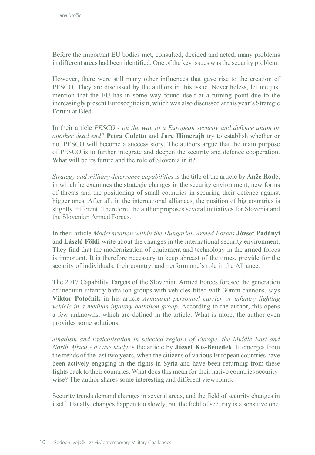Before the important EU bodies met, consulted, decided and acted, many problems in different areas had been identified. One of the key issues wasthe security problem.

However, there were still many other influences that gave rise to the creation of PESCO. They are discussed by the authors in this issue. Nevertheless, let me just mention that the EU has in some way found itself at a turning point due to the increasingly present Euroscepticism, which was also discussed at this year's Strategic Forum at Bled.

In their article *PESCO - on the way to a European security and defence union or another dead end?* **Petra Culetto** and **Jure Himerajh** try to establish whether or not PESCO will become a success story. The authors argue that the main purpose of PESCO is to further integrate and deepen the security and defence cooperation. What will be its future and the role of Slovenia in it?

*Strategy and military deterrence capabilities* is the title of the article by **Anže Rode**, in which he examines the strategic changes in the security environment, new forms of threats and the positioning of small countries in securing their defence against bigger ones. After all, in the international alliances, the position of big countries is slightly different. Therefore, the author proposes several initiatives for Slovenia and the Slovenian Armed Forces.

In their article *Modernization within the Hungarian Armed Forces* **József Padányi**  and **László Földi** write about the changes in the international security environment. They find that the modernization of equipment and technology in the armed forces is important. It is therefore necessary to keep abreast of the times, provide for the security of individuals, their country, and perform one's role in the Alliance.

The 2017 Capability Targets of the Slovenian Armed Forces foresee the generation of medium infantry battalion groups with vehicles fitted with 30mm cannons, says **Viktor Potočnik** in his article *Armoured personnel carrier or infantry fighting vehicle in a medium infantry battalion group*. According to the author, this opens a few unknowns, which are defined in the article. What is more, the author even provides some solutions.

*Jihadism and radicalisation in selected regions of Europe, the Middle East and North Africa - a case study* is the article by **József Kis-Benedek**. It emerges from the trends of the last two years, when the citizens of various European countries have been actively engaging in the fights in Syria and have been returning from these fights back to their countries. What does this mean for their native countries securitywise? The author shares some interesting and different viewpoints.

Security trends demand changes in several areas, and the field of security changes in itself. Usually, changes happen too slowly, but the field of security is a sensitive one